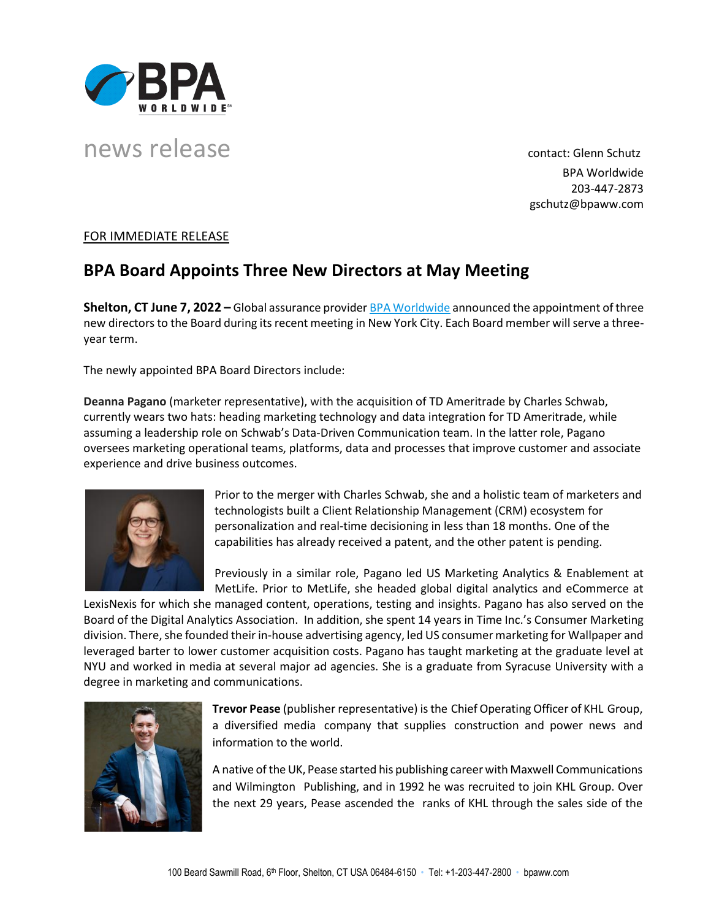

## news release contact: Glenn Schutz

BPA Worldwide 203-447-2873 gschutz@bpaww.com

## FOR IMMEDIATE RELEASE

## **BPA Board Appoints Three New Directors at May Meeting**

**Shelton, CT June 7, 2022 –** Global assurance provide[r BPA Worldwide](http://www.bpaww.com/) announced the appointment of three new directors to the Board during its recent meeting in New York City. Each Board member will serve a threeyear term.

The newly appointed BPA Board Directors include:

**Deanna Pagano** (marketer representative), with the acquisition of TD Ameritrade by Charles Schwab, currently wears two hats: heading marketing technology and data integration for TD Ameritrade, while assuming a leadership role on Schwab's Data-Driven Communication team. In the latter role, Pagano oversees marketing operational teams, platforms, data and processes that improve customer and associate experience and drive business outcomes.



Prior to the merger with Charles Schwab, she and a holistic team of marketers and technologists built a Client Relationship Management (CRM) ecosystem for personalization and real-time decisioning in less than 18 months. One of the capabilities has already received a patent, and the other patent is pending.

Previously in a similar role, Pagano led US Marketing Analytics & Enablement at MetLife. Prior to MetLife, she headed global digital analytics and eCommerce at

LexisNexis for which she managed content, operations, testing and insights. Pagano has also served on the Board of the Digital Analytics Association. In addition, she spent 14 years in Time Inc.'s Consumer Marketing division. There, she founded their in-house advertising agency, led US consumer marketing for Wallpaper and leveraged barter to lower customer acquisition costs. Pagano has taught marketing at the graduate level at NYU and worked in media at several major ad agencies. She is a graduate from Syracuse University with a degree in marketing and communications.



**Trevor Pease** (publisher representative) is the Chief Operating Officer of KHL Group, a diversified media company that supplies construction and power news and information to the world.

A native of theUK, Pease started his publishing career with Maxwell Communications and Wilmington Publishing, and in 1992 he was recruited to join KHL Group. Over the next 29 years, Pease ascended the ranks of KHL through the sales side of the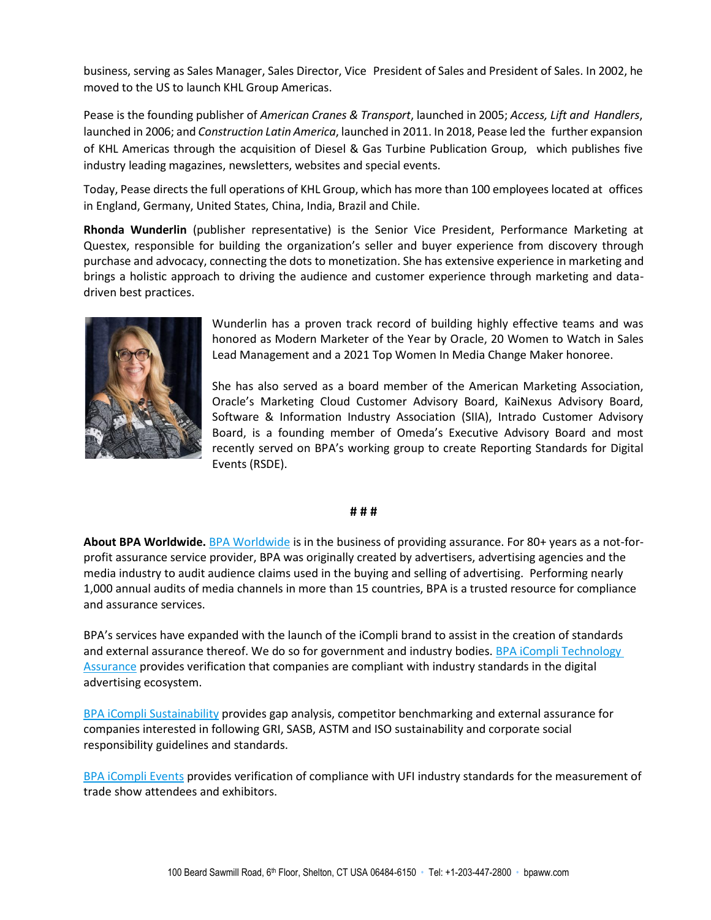business, serving as Sales Manager, Sales Director, Vice President of Sales and President of Sales. In 2002, he moved to the US to launch KHL Group Americas.

Pease is the founding publisher of *American Cranes & Transport*, launched in 2005; *Access, Lift and Handlers*, launched in 2006; and *Construction Latin America*, launched in 2011. In 2018, Pease led the further expansion of KHL Americas through the acquisition of Diesel & Gas Turbine Publication Group, which publishes five industry leading magazines, newsletters, websites and special events.

Today, Pease directs the full operations of KHL Group, which has more than 100 employees located at offices in England, Germany, United States, China, India, Brazil and Chile.

**Rhonda Wunderlin** (publisher representative) is the Senior Vice President, Performance Marketing at Questex, responsible for building the organization's seller and buyer experience from discovery through purchase and advocacy, connecting the dots to monetization. She has extensive experience in marketing and brings a holistic approach to driving the audience and customer experience through marketing and datadriven best practices.



Wunderlin has a proven track record of building highly effective teams and was honored as Modern Marketer of the Year by Oracle, 20 Women to Watch in Sales Lead Management and a 2021 Top Women In Media Change Maker honoree.

She has also served as a board member of the American Marketing Association, Oracle's Marketing Cloud Customer Advisory Board, KaiNexus Advisory Board, Software & Information Industry Association (SIIA), Intrado Customer Advisory Board, is a founding member of Omeda's Executive Advisory Board and most recently served on BPA's working group to create Reporting Standards for Digital Events (RSDE).

## **# # #**

**About BPA Worldwide.** [BPA Worldwide](http://www.bpaww.com/) is in the business of providing assurance. For 80+ years as a not-forprofit assurance service provider, BPA was originally created by advertisers, advertising agencies and the media industry to audit audience claims used in the buying and selling of advertising. Performing nearly 1,000 annual audits of media channels in more than 15 countries, BPA is a trusted resource for compliance and assurance services.

BPA's services have expanded with the launch of the iCompli brand to assist in the creation of standards and external assurance thereof. We do so for government and industry bodies. BPA iCompli Technology [Assurance](https://www.bpaww.com/certifications/bpa-icompli-certifications/tech-assurance/) provides verification that companies are compliant with industry standards in the digital advertising ecosystem.

[BPA iCompli Sustainability](https://www.bpaww.com/certifications/bpa-icompli-certifications/sustainability/) provides gap analysis, competitor benchmarking and external assurance for companies interested in following GRI, SASB, ASTM and ISO sustainability and corporate social responsibility guidelines and standards.

[BPA iCompli Events](https://www.bpaww.com/audits/event-audits/) provides verification of compliance with UFI industry standards for the measurement of trade show attendees and exhibitors.